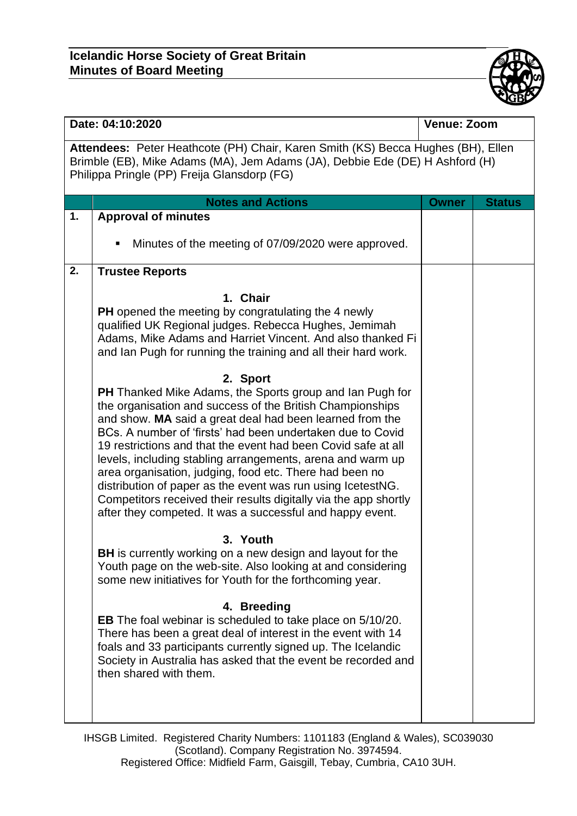

| Attendees: Peter Heathcote (PH) Chair, Karen Smith (KS) Becca Hughes (BH), Ellen<br>Brimble (EB), Mike Adams (MA), Jem Adams (JA), Debbie Ede (DE) H Ashford (H)<br>Philippa Pringle (PP) Freija Glansdorp (FG)                                                                                                                                                                                                                                                                                                                                                                                                                                                                                                                                                                                                                                                                                                                                                                                                                                                                                                                                                                                                                                                                                                                                                                                                                                     | <b>Owner</b> | <b>Status</b> |
|-----------------------------------------------------------------------------------------------------------------------------------------------------------------------------------------------------------------------------------------------------------------------------------------------------------------------------------------------------------------------------------------------------------------------------------------------------------------------------------------------------------------------------------------------------------------------------------------------------------------------------------------------------------------------------------------------------------------------------------------------------------------------------------------------------------------------------------------------------------------------------------------------------------------------------------------------------------------------------------------------------------------------------------------------------------------------------------------------------------------------------------------------------------------------------------------------------------------------------------------------------------------------------------------------------------------------------------------------------------------------------------------------------------------------------------------------------|--------------|---------------|
|                                                                                                                                                                                                                                                                                                                                                                                                                                                                                                                                                                                                                                                                                                                                                                                                                                                                                                                                                                                                                                                                                                                                                                                                                                                                                                                                                                                                                                                     |              |               |
| <b>Notes and Actions</b>                                                                                                                                                                                                                                                                                                                                                                                                                                                                                                                                                                                                                                                                                                                                                                                                                                                                                                                                                                                                                                                                                                                                                                                                                                                                                                                                                                                                                            |              |               |
| <b>Approval of minutes</b><br>1.                                                                                                                                                                                                                                                                                                                                                                                                                                                                                                                                                                                                                                                                                                                                                                                                                                                                                                                                                                                                                                                                                                                                                                                                                                                                                                                                                                                                                    |              |               |
| Minutes of the meeting of 07/09/2020 were approved.<br>٠                                                                                                                                                                                                                                                                                                                                                                                                                                                                                                                                                                                                                                                                                                                                                                                                                                                                                                                                                                                                                                                                                                                                                                                                                                                                                                                                                                                            |              |               |
| 2.<br><b>Trustee Reports</b>                                                                                                                                                                                                                                                                                                                                                                                                                                                                                                                                                                                                                                                                                                                                                                                                                                                                                                                                                                                                                                                                                                                                                                                                                                                                                                                                                                                                                        |              |               |
| 1. Chair<br><b>PH</b> opened the meeting by congratulating the 4 newly<br>qualified UK Regional judges. Rebecca Hughes, Jemimah<br>Adams, Mike Adams and Harriet Vincent. And also thanked Fi<br>and Ian Pugh for running the training and all their hard work.<br>2. Sport<br>PH Thanked Mike Adams, the Sports group and lan Pugh for<br>the organisation and success of the British Championships<br>and show. MA said a great deal had been learned from the<br>BCs. A number of 'firsts' had been undertaken due to Covid<br>19 restrictions and that the event had been Covid safe at all<br>levels, including stabling arrangements, arena and warm up<br>area organisation, judging, food etc. There had been no<br>distribution of paper as the event was run using IcetestNG.<br>Competitors received their results digitally via the app shortly<br>after they competed. It was a successful and happy event.<br>3. Youth<br><b>BH</b> is currently working on a new design and layout for the<br>Youth page on the web-site. Also looking at and considering<br>some new initiatives for Youth for the forthcoming year.<br>4. Breeding<br><b>EB</b> The foal webinar is scheduled to take place on 5/10/20.<br>There has been a great deal of interest in the event with 14<br>foals and 33 participants currently signed up. The Icelandic<br>Society in Australia has asked that the event be recorded and<br>then shared with them. |              |               |

IHSGB Limited. Registered Charity Numbers: 1101183 (England & Wales), SC039030 (Scotland). Company Registration No. 3974594. Registered Office: Midfield Farm, Gaisgill, Tebay, Cumbria, CA10 3UH.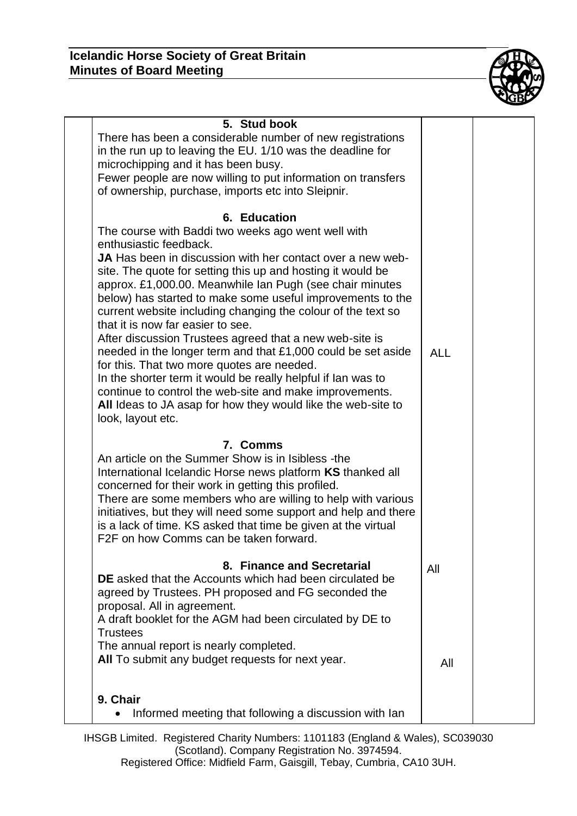

| 5. Stud book<br>There has been a considerable number of new registrations<br>in the run up to leaving the EU. 1/10 was the deadline for<br>microchipping and it has been busy.<br>Fewer people are now willing to put information on transfers<br>of ownership, purchase, imports etc into Sleipnir.                                                                                                                                                                                                                                                                                                                                                                                                                                                                                                                                                |            |  |
|-----------------------------------------------------------------------------------------------------------------------------------------------------------------------------------------------------------------------------------------------------------------------------------------------------------------------------------------------------------------------------------------------------------------------------------------------------------------------------------------------------------------------------------------------------------------------------------------------------------------------------------------------------------------------------------------------------------------------------------------------------------------------------------------------------------------------------------------------------|------------|--|
| 6. Education<br>The course with Baddi two weeks ago went well with<br>enthusiastic feedback.<br>JA Has been in discussion with her contact over a new web-<br>site. The quote for setting this up and hosting it would be<br>approx. £1,000.00. Meanwhile Ian Pugh (see chair minutes<br>below) has started to make some useful improvements to the<br>current website including changing the colour of the text so<br>that it is now far easier to see.<br>After discussion Trustees agreed that a new web-site is<br>needed in the longer term and that $£1,000$ could be set aside<br>for this. That two more quotes are needed.<br>In the shorter term it would be really helpful if lan was to<br>continue to control the web-site and make improvements.<br>All Ideas to JA asap for how they would like the web-site to<br>look, layout etc. | <b>ALL</b> |  |
| 7. Comms<br>An article on the Summer Show is in Isibless -the<br>International Icelandic Horse news platform KS thanked all<br>concerned for their work in getting this profiled.<br>There are some members who are willing to help with various<br>initiatives, but they will need some support and help and there<br>is a lack of time. KS asked that time be given at the virtual<br>F2F on how Comms can be taken forward.                                                                                                                                                                                                                                                                                                                                                                                                                      |            |  |
| 8. Finance and Secretarial<br><b>DE</b> asked that the Accounts which had been circulated be<br>agreed by Trustees. PH proposed and FG seconded the<br>proposal. All in agreement.<br>A draft booklet for the AGM had been circulated by DE to<br><b>Trustees</b><br>The annual report is nearly completed.<br>All To submit any budget requests for next year.                                                                                                                                                                                                                                                                                                                                                                                                                                                                                     | All<br>All |  |
| 9. Chair<br>Informed meeting that following a discussion with lan                                                                                                                                                                                                                                                                                                                                                                                                                                                                                                                                                                                                                                                                                                                                                                                   |            |  |

IHSGB Limited. Registered Charity Numbers: 1101183 (England & Wales), SC039030 (Scotland). Company Registration No. 3974594. Registered Office: Midfield Farm, Gaisgill, Tebay, Cumbria, CA10 3UH.